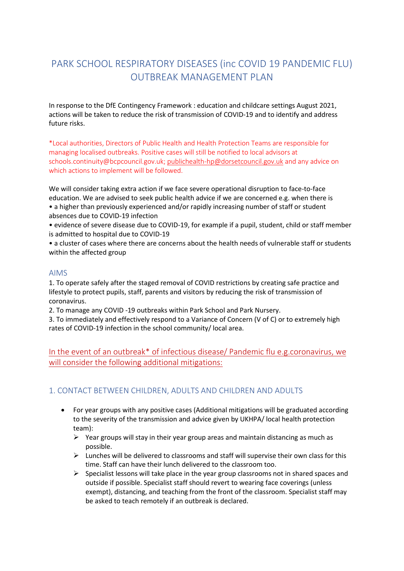# PARK SCHOOL RESPIRATORY DISEASES (inc COVID 19 PANDEMIC FLU) OUTBREAK MANAGEMENT PLAN

In response to the DfE Contingency Framework : education and childcare settings August 2021, actions will be taken to reduce the risk of transmission of COVID-19 and to identify and address future risks.

\*Local authorities, Directors of Public Health and Health Protection Teams are responsible for managing localised outbreaks. Positive cases will still be notified to local advisors at schools.continuity@bcpcouncil.gov.uk; [publichealth-hp@dorsetcouncil.gov.uk](mailto:publichealth-hp@dorsetcouncil.gov.uk) and any advice on which actions to implement will be followed.

We will consider taking extra action if we face severe operational disruption to face-to-face education. We are advised to seek public health advice if we are concerned e.g. when there is • a higher than previously experienced and/or rapidly increasing number of staff or student absences due to COVID-19 infection

- evidence of severe disease due to COVID-19, for example if a pupil, student, child or staff member is admitted to hospital due to COVID-19
- a cluster of cases where there are concerns about the health needs of vulnerable staff or students within the affected group

#### AIMS

1. To operate safely after the staged removal of COVID restrictions by creating safe practice and lifestyle to protect pupils, staff, parents and visitors by reducing the risk of transmission of coronavirus.

2. To manage any COVID -19 outbreaks within Park School and Park Nursery.

3. To immediately and effectively respond to a Variance of Concern (V of C) or to extremely high rates of COVID-19 infection in the school community/ local area.

In the event of an outbreak\* of infectious disease/ Pandemic flu e.g.coronavirus, we will consider the following additional mitigations:

## 1. CONTACT BETWEEN CHILDREN, ADULTS AND CHILDREN AND ADULTS

- For year groups with any positive cases (Additional mitigations will be graduated according to the severity of the transmission and advice given by UKHPA/ local health protection team):
	- $\triangleright$  Year groups will stay in their year group areas and maintain distancing as much as possible.
	- ➢ Lunches will be delivered to classrooms and staff will supervise their own class for this time. Staff can have their lunch delivered to the classroom too.
	- $\triangleright$  Specialist lessons will take place in the year group classrooms not in shared spaces and outside if possible. Specialist staff should revert to wearing face coverings (unless exempt), distancing, and teaching from the front of the classroom. Specialist staff may be asked to teach remotely if an outbreak is declared.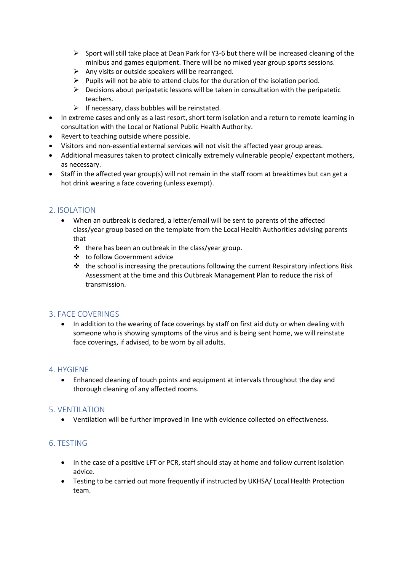- $\triangleright$  Sport will still take place at Dean Park for Y3-6 but there will be increased cleaning of the minibus and games equipment. There will be no mixed year group sports sessions.
- $\triangleright$  Any visits or outside speakers will be rearranged.
- $\triangleright$  Pupils will not be able to attend clubs for the duration of the isolation period.
- $\triangleright$  Decisions about peripatetic lessons will be taken in consultation with the peripatetic teachers.
- $\triangleright$  If necessary, class bubbles will be reinstated.
- In extreme cases and only as a last resort, short term isolation and a return to remote learning in consultation with the Local or National Public Health Authority.
- Revert to teaching outside where possible.
- Visitors and non-essential external services will not visit the affected year group areas.
- Additional measures taken to protect clinically extremely vulnerable people/ expectant mothers, as necessary.
- Staff in the affected year group(s) will not remain in the staff room at breaktimes but can get a hot drink wearing a face covering (unless exempt).

### 2. ISOLATION

- When an outbreak is declared, a letter/email will be sent to parents of the affected class/year group based on the template from the Local Health Authorities advising parents that
	- ❖ there has been an outbreak in the class/year group.
	- ❖ to follow Government advice
	- $\cdot \cdot$  the school is increasing the precautions following the current Respiratory infections Risk Assessment at the time and this Outbreak Management Plan to reduce the risk of transmission.

#### 3. FACE COVERINGS

• In addition to the wearing of face coverings by staff on first aid duty or when dealing with someone who is showing symptoms of the virus and is being sent home, we will reinstate face coverings, if advised, to be worn by all adults.

#### 4. HYGIENE

• Enhanced cleaning of touch points and equipment at intervals throughout the day and thorough cleaning of any affected rooms.

#### 5. VENTILATION

• Ventilation will be further improved in line with evidence collected on effectiveness.

#### 6. TESTING

- In the case of a positive LFT or PCR, staff should stay at home and follow current isolation advice.
- Testing to be carried out more frequently if instructed by UKHSA/ Local Health Protection team.